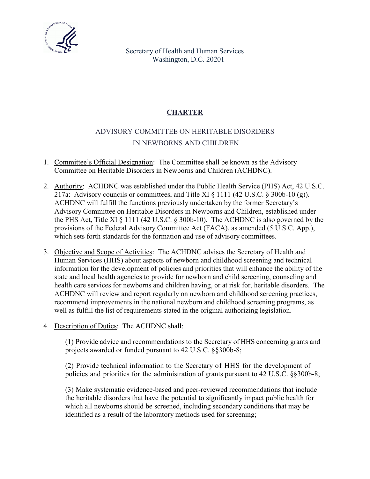

Secretary of Health and Human Services Washington, D.C. 20201

## **CHARTER**

## ADVISORY COMMITTEE ON HERITABLE DISORDERS IN NEWBORNS AND CHILDREN

- 1. Committee's Official Designation: The Committee shall be known as the Advisory Committee on Heritable Disorders in Newborns and Children (ACHDNC).
- 2. Authority: ACHDNC was established under the Public Health Service (PHS) Act, 42 U.S.C. 217a: Advisory councils or committees, and Title XI  $\S$  1111 (42 U.S.C.  $\S$  300b-10 (g)). ACHDNC will fulfill the functions previously undertaken by the former Secretary's Advisory Committee on Heritable Disorders in Newborns and Children, established under the PHS Act, Title XI § 1111 (42 U.S.C. § 300b-10). The ACHDNC is also governed by the provisions of the Federal Advisory Committee Act (FACA), as amended (5 U.S.C. App.), which sets forth standards for the formation and use of advisory committees.
- 3. Objective and Scope of Activities: The ACHDNC advises the Secretary of Health and Human Services (HHS) about aspects of newborn and childhood screening and technical information for the development of policies and priorities that will enhance the ability of the state and local health agencies to provide for newborn and child screening, counseling and health care services for newborns and children having, or at risk for, heritable disorders. The ACHDNC will review and report regularly on newborn and childhood screening practices, recommend improvements in the national newborn and childhood screening programs, as well as fulfill the list of requirements stated in the original authorizing legislation.
- 4. Description of Duties: The ACHDNC shall:

(1) Provide advice and recommendations to the Secretary of HHS concerning grants and projects awarded or funded pursuant to 42 U.S.C. §§300b-8;

(2) Provide technical information to the Secretary of HHS for the development of policies and priorities for the administration of grants pursuant to 42 U.S.C. §§300b-8;

(3) Make systematic evidence-based and peer-reviewed recommendations that include the heritable disorders that have the potential to significantly impact public health for which all newborns should be screened, including secondary conditions that may be identified as a result of the laboratory methods used for screening;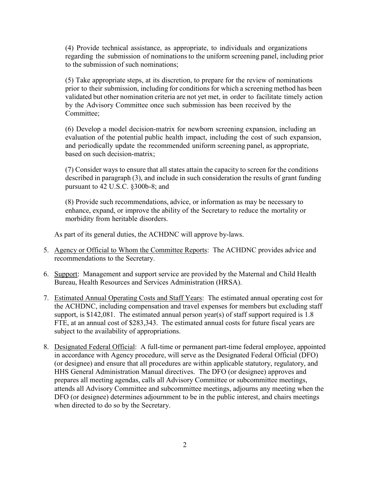(4) Provide technical assistance, as appropriate, to individuals and organizations regarding the submission of nominations to the uniform screening panel, including prior to the submission of such nominations;

(5) Take appropriate steps, at its discretion, to prepare for the review of nominations prior to their submission, including for conditions for which a screening method has been validated but other nomination criteria are not yet met, in order to facilitate timely action by the Advisory Committee once such submission has been received by the Committee;

(6) Develop a model decision-matrix for newborn screening expansion, including an evaluation of the potential public health impact, including the cost of such expansion, and periodically update the recommended uniform screening panel, as appropriate, based on such decision-matrix;

(7) Consider ways to ensure that all states attain the capacity to screen for the conditions described in paragraph (3), and include in such consideration the results of grant funding pursuant to 42 U.S.C. §300b-8; and

(8) Provide such recommendations, advice, or information as may be necessary to enhance, expand, or improve the ability of the Secretary to reduce the mortality or morbidity from heritable disorders.

As part of its general duties, the ACHDNC will approve by-laws.

- 5. Agency or Official to Whom the Committee Reports: The ACHDNC provides advice and recommendations to the Secretary.
- 6. Support: Management and support service are provided by the Maternal and Child Health Bureau, Health Resources and Services Administration (HRSA).
- 7. Estimated Annual Operating Costs and Staff Years: The estimated annual operating cost for the ACHDNC, including compensation and travel expenses for members but excluding staff support, is \$142,081. The estimated annual person year(s) of staff support required is 1.8 FTE, at an annual cost of \$283,343. The estimated annual costs for future fiscal years are subject to the availability of appropriations.
- 8. Designated Federal Official: A full-time or permanent part-time federal employee, appointed in accordance with Agency procedure, will serve as the Designated Federal Official (DFO) (or designee) and ensure that all procedures are within applicable statutory, regulatory, and HHS General Administration Manual directives. The DFO (or designee) approves and prepares all meeting agendas, calls all Advisory Committee or subcommittee meetings, attends all Advisory Committee and subcommittee meetings, adjourns any meeting when the DFO (or designee) determines adjournment to be in the public interest, and chairs meetings when directed to do so by the Secretary.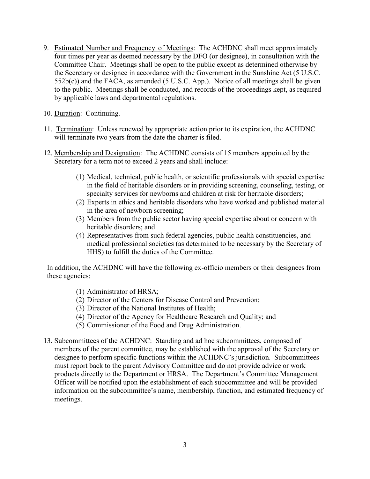- 9. Estimated Number and Frequency of Meetings: The ACHDNC shall meet approximately four times per year as deemed necessary by the DFO (or designee), in consultation with the Committee Chair. Meetings shall be open to the public except as determined otherwise by the Secretary or designee in accordance with the Government in the Sunshine Act (5 U.S.C. 552b(c)) and the FACA, as amended (5 U.S.C. App.). Notice of all meetings shall be given to the public. Meetings shall be conducted, and records of the proceedings kept, as required by applicable laws and departmental regulations.
- 10. Duration: Continuing.
- 11. Termination: Unless renewed by appropriate action prior to its expiration, the ACHDNC will terminate two years from the date the charter is filed.
- 12. Membership and Designation: The ACHDNC consists of 15 members appointed by the Secretary for a term not to exceed 2 years and shall include:
	- (1) Medical, technical, public health, or scientific professionals with special expertise in the field of heritable disorders or in providing screening, counseling, testing, or specialty services for newborns and children at risk for heritable disorders;
	- (2) Experts in ethics and heritable disorders who have worked and published material in the area of newborn screening;
	- (3) Members from the public sector having special expertise about or concern with heritable disorders; and
	- (4) Representatives from such federal agencies, public health constituencies, and medical professional societies (as determined to be necessary by the Secretary of HHS) to fulfill the duties of the Committee.

In addition, the ACHDNC will have the following ex-officio members or their designees from these agencies:

- (1) Administrator of HRSA;
- (2) Director of the Centers for Disease Control and Prevention;
- (3) Director of the National Institutes of Health;
- (4) Director of the Agency for Healthcare Research and Quality; and
- (5) Commissioner of the Food and Drug Administration.
- 13. Subcommittees of the ACHDNC: Standing and ad hoc subcommittees, composed of members of the parent committee, may be established with the approval of the Secretary or designee to perform specific functions within the ACHDNC's jurisdiction. Subcommittees must report back to the parent Advisory Committee and do not provide advice or work products directly to the Department or HRSA. The Department's Committee Management Officer will be notified upon the establishment of each subcommittee and will be provided information on the subcommittee's name, membership, function, and estimated frequency of meetings.